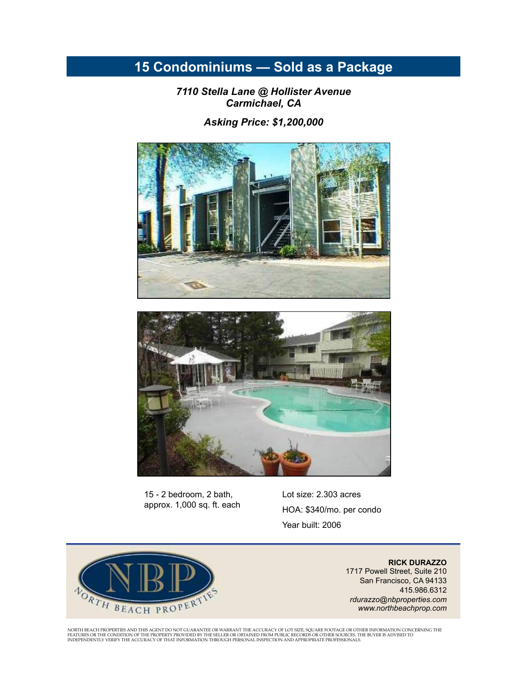## **15 Condominiums — Sold as a Package**

*7110 Stella Lane @ Hollister Avenue Carmichael, CA* 

*Asking Price: \$1,200,000* 





15 - 2 bedroom, 2 bath, approx. 1,000 sq. ft. each Lot size: 2.303 acres HOA: \$340/mo. per condo Year built: 2006



**RICK DURAZZO**  1717 Powell Street, Suite 210 San Francisco, CA 94133 415.986.6312 *rdurazzo@nbproperties.com www.northbeachprop.com* 

NORTH BEACH PROPERTIES AND THIS AGENT DO NOT GUARANTEE OR WARRANT THE ACCURACY OF LOT SIZE, SQUARE FOOTAGE OR OTHER INFORMATION CONCERNING THE<br>FEATURES OR THE CONDITION OF THE PROPERTY PROVIDED BY THE SELLER OR OBTAINED FR